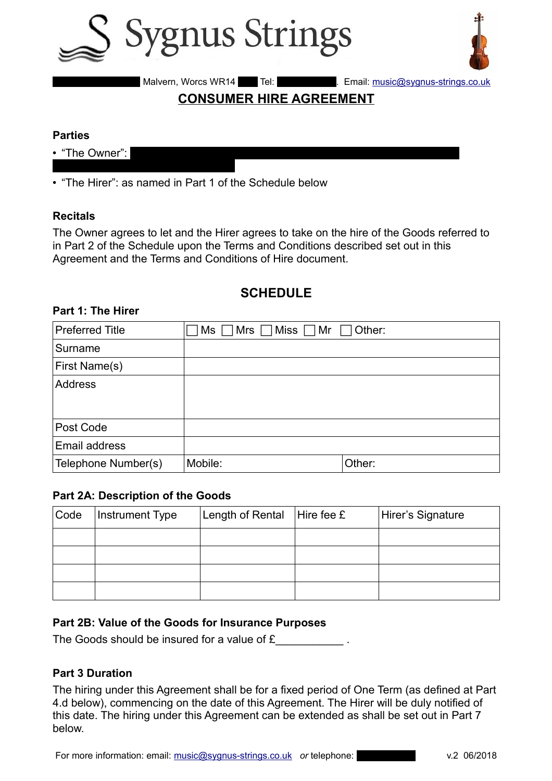



14 Malvern, Worcs WR14 1HY. Tel: 07870 1Hy. Email: music@sygnus-strings.co.uk

# **CONSUMER HIRE AGREEMENT**

#### **Parties**

- "The Owner":
- "The Hirer": as named in Part 1 of the Schedule below

#### **Recitals**

The Owner agrees to let and the Hirer agrees to take on the hire of the Goods referred to in Part 2 of the Schedule upon the Terms and Conditions described set out in this Agreement and the Terms and Conditions of Hire document.

# **SCHEDULE**

#### **Part 1: The Hirer**

| <b>Preferred Title</b> | $\lfloor$ Mrs $\sqcap$ Miss $\sqcap$ Mr $\sqcap$<br>Other:<br>Ms |        |
|------------------------|------------------------------------------------------------------|--------|
| Surname                |                                                                  |        |
| First Name(s)          |                                                                  |        |
| <b>Address</b>         |                                                                  |        |
|                        |                                                                  |        |
| Post Code              |                                                                  |        |
| Email address          |                                                                  |        |
| Telephone Number(s)    | Mobile:                                                          | Other: |

#### **Part 2A: Description of the Goods**

| Code | <b>Instrument Type</b> | Length of Rental $ $ Hire fee £ | Hirer's Signature |
|------|------------------------|---------------------------------|-------------------|
|      |                        |                                 |                   |
|      |                        |                                 |                   |
|      |                        |                                 |                   |
|      |                        |                                 |                   |

#### **Part 2B: Value of the Goods for Insurance Purposes**

The Goods should be insured for a value of £

#### **Part 3 Duration**

The hiring under this Agreement shall be for a fixed period of One Term (as defined at Part 4.d below), commencing on the date of this Agreement. The Hirer will be duly notified of this date. The hiring under this Agreement can be extended as shall be set out in Part 7 below.

For more information: email: [music@sygnus-strings.co.uk](mailto:music@sygnus-strings.co.uk) or telephone: v.2 06/2018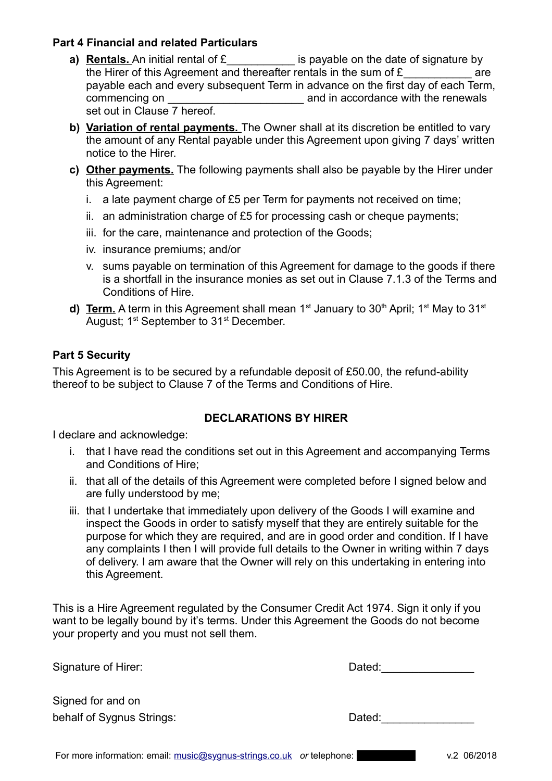## **Part 4 Financial and related Particulars**

- **a) Rentals.** An initial rental of £ **E** is payable on the date of signature by the Hirer of this Agreement and thereafter rentals in the sum of  $E$  are payable each and every subsequent Term in advance on the first day of each Term, commencing on \_\_\_\_\_\_\_\_\_\_\_\_\_\_\_\_\_\_\_\_\_\_ and in accordance with the renewals set out in Clause 7 hereof.
- **b) Variation of rental payments.** The Owner shall at its discretion be entitled to vary the amount of any Rental payable under this Agreement upon giving 7 days' written notice to the Hirer.
- **c) Other payments.** The following payments shall also be payable by the Hirer under this Agreement:
	- i. a late payment charge of £5 per Term for payments not received on time;
	- ii. an administration charge of £5 for processing cash or cheque payments;
	- iii. for the care, maintenance and protection of the Goods;
	- iv. insurance premiums; and/or
	- v. sums payable on termination of this Agreement for damage to the goods if there is a shortfall in the insurance monies as set out in Clause 7.1.3 of the Terms and Conditions of Hire.
- **d) Term.** A term in this Agreement shall mean  $1^{st}$  January to  $30^{th}$  April;  $1^{st}$  May to  $31^{st}$ August; 1<sup>st</sup> September to 31<sup>st</sup> December.

## **Part 5 Security**

This Agreement is to be secured by a refundable deposit of £50.00, the refund-ability thereof to be subject to Clause 7 of the Terms and Conditions of Hire.

## **DECLARATIONS BY HIRER**

I declare and acknowledge:

- i. that I have read the conditions set out in this Agreement and accompanying Terms and Conditions of Hire;
- ii. that all of the details of this Agreement were completed before I signed below and are fully understood by me;
- iii. that I undertake that immediately upon delivery of the Goods I will examine and inspect the Goods in order to satisfy myself that they are entirely suitable for the purpose for which they are required, and are in good order and condition. If I have any complaints I then I will provide full details to the Owner in writing within 7 days of delivery. I am aware that the Owner will rely on this undertaking in entering into this Agreement.

This is a Hire Agreement regulated by the Consumer Credit Act 1974. Sign it only if you want to be legally bound by it's terms. Under this Agreement the Goods do not become your property and you must not sell them.

| Signed for and on        |
|--------------------------|
| behalf of Sygnus Strings |

Signature of Hirer: **Dated:** Dated:

behalf of Strings: And Strings: And Strings: Dated: Dated: And Dated: And Dated: And Dated: And Dated: And Dated: And Dated: And Dated: And Dated: And Dated: And Dated: And Dated: And Dated: And Dated: And Dated: And Dated